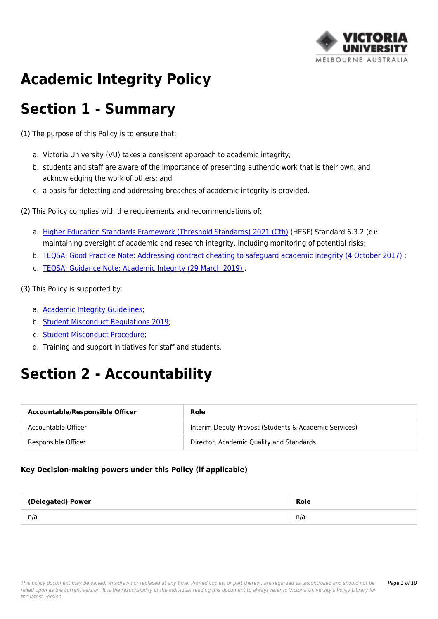

# **Academic Integrity Policy**

## **Section 1 - Summary**

(1) The purpose of this Policy is to ensure that:

- a. Victoria University (VU) takes a consistent approach to academic integrity;
- b. students and staff are aware of the importance of presenting authentic work that is their own, and acknowledging the work of others; and
- c. a basis for detecting and addressing breaches of academic integrity is provided.
- (2) This Policy complies with the requirements and recommendations of:
	- a. [Higher Education Standards Framework \(Threshold Standards\) 2021 \(Cth\)](https://policy.vu.edu.au/directory/summary.php?standard=12) (HESF) Standard 6.3.2 (d): maintaining oversight of academic and research integrity, including monitoring of potential risks;
	- b. [TEQSA: Good Practice Note: Addressing contract cheating to safeguard academic integrity \(4 October 2017\) ;](http://policy.vu.edu.au/download.php?id=436&version=2&associated)
	- c. [TEQSA: Guidance Note: Academic Integrity \(29 March 2019\)](http://policy.vu.edu.au/download.php?id=437&version=2&associated) .
- (3) This Policy is supported by:
	- a. [Academic Integrity Guidelines;](https://policy.vu.edu.au/document/view.php?id=412)
	- b. [Student Misconduct Regulations 2019](https://policy.vu.edu.au/document/view.php?id=206);
	- c. [Student Misconduct Procedure](https://policy.vu.edu.au/document/view.php?id=204);
	- d. Training and support initiatives for staff and students.

# **Section 2 - Accountability**

| <b>Accountable/Responsible Officer</b> | Role                                                  |
|----------------------------------------|-------------------------------------------------------|
| Accountable Officer                    | Interim Deputy Provost (Students & Academic Services) |
| Responsible Officer                    | Director, Academic Quality and Standards              |

#### **Key Decision-making powers under this Policy (if applicable)**

| (Delegated) Power | Role |
|-------------------|------|
| n/a               | n/a  |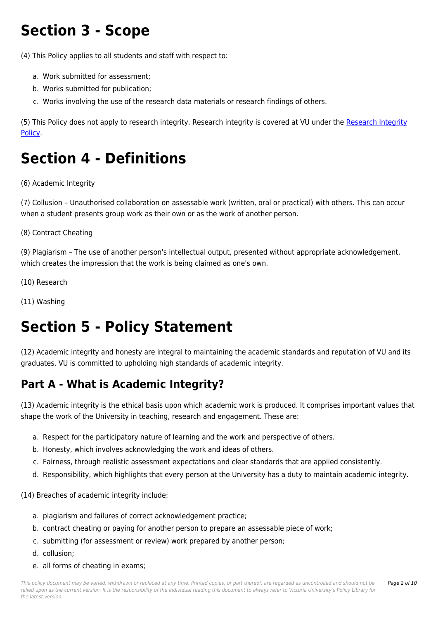# **Section 3 - Scope**

(4) This Policy applies to all students and staff with respect to:

- a. Work submitted for assessment;
- b. Works submitted for publication;
- c. Works involving the use of the research data materials or research findings of others.

(5) This Policy does not apply to research integrity. Research integrity is covered at VU under the [Research Integrity](https://policy.vu.edu.au/document/view.php?id=75) [Policy.](https://policy.vu.edu.au/document/view.php?id=75)

# **Section 4 - Definitions**

(6) Academic Integrity

(7) Collusion – Unauthorised collaboration on assessable work (written, oral or practical) with others. This can occur when a student presents group work as their own or as the work of another person.

(8) Contract Cheating

(9) Plagiarism – The use of another person's intellectual output, presented without appropriate acknowledgement, which creates the impression that the work is being claimed as one's own.

- (10) Research
- (11) Washing

## **Section 5 - Policy Statement**

(12) Academic integrity and honesty are integral to maintaining the academic standards and reputation of VU and its graduates. VU is committed to upholding high standards of academic integrity.

## **Part A - What is Academic Integrity?**

(13) Academic integrity is the ethical basis upon which academic work is produced. It comprises important values that shape the work of the University in teaching, research and engagement. These are:

- a. Respect for the participatory nature of learning and the work and perspective of others.
- b. Honesty, which involves acknowledging the work and ideas of others.
- c. Fairness, through realistic assessment expectations and clear standards that are applied consistently.
- d. Responsibility, which highlights that every person at the University has a duty to maintain academic integrity.

(14) Breaches of academic integrity include:

- a. plagiarism and failures of correct acknowledgement practice;
- b. contract cheating or paying for another person to prepare an assessable piece of work;
- c. submitting (for assessment or review) work prepared by another person;
- d. collusion;
- e. all forms of cheating in exams;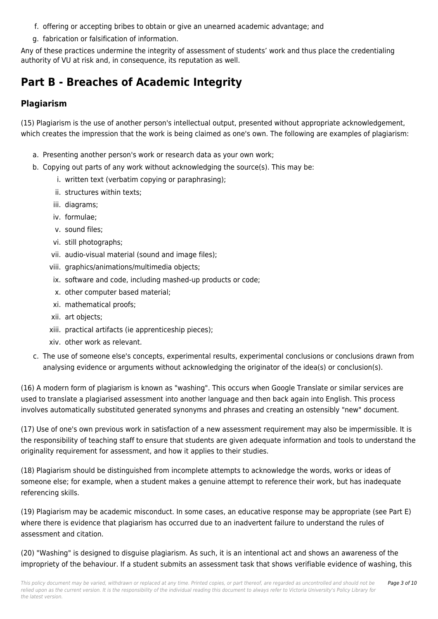- f. offering or accepting bribes to obtain or give an unearned academic advantage; and
- g. fabrication or falsification of information.

Any of these practices undermine the integrity of assessment of students' work and thus place the credentialing authority of VU at risk and, in consequence, its reputation as well.

## **Part B - Breaches of Academic Integrity**

#### **Plagiarism**

(15) Plagiarism is the use of another person's intellectual output, presented without appropriate acknowledgement, which creates the impression that the work is being claimed as one's own. The following are examples of plagiarism:

- a. Presenting another person's work or research data as your own work;
- b. Copying out parts of any work without acknowledging the source(s). This may be:
	- i. written text (verbatim copying or paraphrasing);
	- ii. structures within texts;
	- iii. diagrams;
	- iv. formulae;
	- v. sound files;
	- vi. still photographs;
	- vii. audio-visual material (sound and image files);
	- viii. graphics/animations/multimedia objects;
	- ix. software and code, including mashed-up products or code;
	- x. other computer based material;
	- xi. mathematical proofs;
	- xii. art objects;
	- xiii. practical artifacts (ie apprenticeship pieces);
	- xiv. other work as relevant.
- c. The use of someone else's concepts, experimental results, experimental conclusions or conclusions drawn from analysing evidence or arguments without acknowledging the originator of the idea(s) or conclusion(s).

(16) A modern form of plagiarism is known as "washing". This occurs when Google Translate or similar services are used to translate a plagiarised assessment into another language and then back again into English. This process involves automatically substituted generated synonyms and phrases and creating an ostensibly "new" document.

(17) Use of one's own previous work in satisfaction of a new assessment requirement may also be impermissible. It is the responsibility of teaching staff to ensure that students are given adequate information and tools to understand the originality requirement for assessment, and how it applies to their studies.

(18) Plagiarism should be distinguished from incomplete attempts to acknowledge the words, works or ideas of someone else; for example, when a student makes a genuine attempt to reference their work, but has inadequate referencing skills.

(19) Plagiarism may be academic misconduct. In some cases, an educative response may be appropriate (see Part E) where there is evidence that plagiarism has occurred due to an inadvertent failure to understand the rules of assessment and citation.

(20) "Washing" is designed to disguise plagiarism. As such, it is an intentional act and shows an awareness of the impropriety of the behaviour. If a student submits an assessment task that shows verifiable evidence of washing, this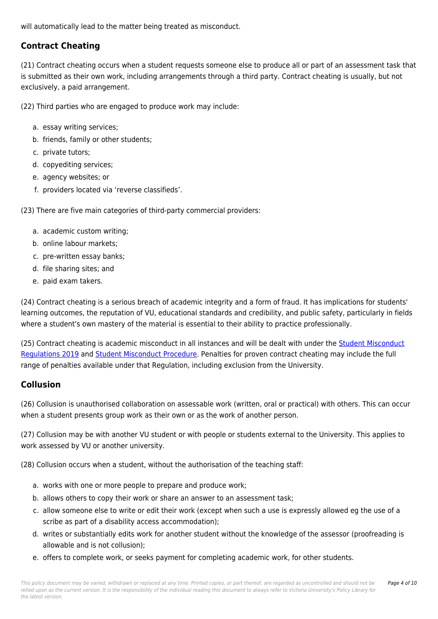will automatically lead to the matter being treated as misconduct.

#### **Contract Cheating**

(21) Contract cheating occurs when a student requests someone else to produce all or part of an assessment task that is submitted as their own work, including arrangements through a third party. Contract cheating is usually, but not exclusively, a paid arrangement.

(22) Third parties who are engaged to produce work may include:

- a. essay writing services;
- b. friends, family or other students;
- c. private tutors;
- d. copyediting services;
- e. agency websites; or
- f. providers located via 'reverse classifieds'.

(23) There are five main categories of third-party commercial providers:

- a. academic custom writing;
- b. online labour markets;
- c. pre-written essay banks;
- d. file sharing sites; and
- e. paid exam takers.

(24) Contract cheating is a serious breach of academic integrity and a form of fraud. It has implications for students' learning outcomes, the reputation of VU, educational standards and credibility, and public safety, particularly in fields where a student's own mastery of the material is essential to their ability to practice professionally.

(25) Contract cheating is academic misconduct in all instances and will be dealt with under the [Student Misconduct](https://policy.vu.edu.au/document/view.php?id=206) [Regulations 2019](https://policy.vu.edu.au/document/view.php?id=206) and [Student Misconduct Procedure.](https://policy.vu.edu.au/document/view.php?id=204) Penalties for proven contract cheating may include the full range of penalties available under that Regulation, including exclusion from the University.

#### **Collusion**

(26) Collusion is unauthorised collaboration on assessable work (written, oral or practical) with others. This can occur when a student presents group work as their own or as the work of another person.

(27) Collusion may be with another VU student or with people or students external to the University. This applies to work assessed by VU or another university.

(28) Collusion occurs when a student, without the authorisation of the teaching staff:

- a. works with one or more people to prepare and produce work;
- b. allows others to copy their work or share an answer to an assessment task;
- c. allow someone else to write or edit their work (except when such a use is expressly allowed eg the use of a scribe as part of a disability access accommodation);
- d. writes or substantially edits work for another student without the knowledge of the assessor (proofreading is allowable and is not collusion);
- e. offers to complete work, or seeks payment for completing academic work, for other students.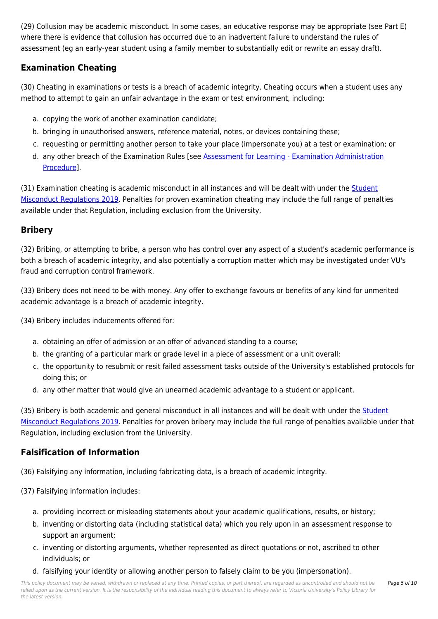(29) Collusion may be academic misconduct. In some cases, an educative response may be appropriate (see Part E) where there is evidence that collusion has occurred due to an inadvertent failure to understand the rules of assessment (eg an early-year student using a family member to substantially edit or rewrite an essay draft).

#### **Examination Cheating**

(30) Cheating in examinations or tests is a breach of academic integrity. Cheating occurs when a student uses any method to attempt to gain an unfair advantage in the exam or test environment, including:

- a. copying the work of another examination candidate;
- b. bringing in unauthorised answers, reference material, notes, or devices containing these;
- c. requesting or permitting another person to take your place (impersonate you) at a test or examination; or
- d. any other breach of the Examination Rules [see [Assessment for Learning Examination Administration](https://policy.vu.edu.au/document/view.php?id=65) [Procedure](https://policy.vu.edu.au/document/view.php?id=65)].

(31) Examination cheating is academic misconduct in all instances and will be dealt with under the [Student](https://policy.vu.edu.au/document/view.php?id=206) [Misconduct Regulations 2019](https://policy.vu.edu.au/document/view.php?id=206). Penalties for proven examination cheating may include the full range of penalties available under that Regulation, including exclusion from the University.

#### **Bribery**

(32) Bribing, or attempting to bribe, a person who has control over any aspect of a student's academic performance is both a breach of academic integrity, and also potentially a corruption matter which may be investigated under VU's fraud and corruption control framework.

(33) Bribery does not need to be with money. Any offer to exchange favours or benefits of any kind for unmerited academic advantage is a breach of academic integrity.

(34) Bribery includes inducements offered for:

- a. obtaining an offer of admission or an offer of advanced standing to a course;
- b. the granting of a particular mark or grade level in a piece of assessment or a unit overall;
- c. the opportunity to resubmit or resit failed assessment tasks outside of the University's established protocols for doing this; or
- d. any other matter that would give an unearned academic advantage to a student or applicant.

(35) Bribery is both academic and general misconduct in all instances and will be dealt with under the [Student](https://policy.vu.edu.au/document/view.php?id=206) [Misconduct Regulations 2019](https://policy.vu.edu.au/document/view.php?id=206). Penalties for proven bribery may include the full range of penalties available under that Regulation, including exclusion from the University.

#### **Falsification of Information**

(36) Falsifying any information, including fabricating data, is a breach of academic integrity.

- (37) Falsifying information includes:
	- a. providing incorrect or misleading statements about your academic qualifications, results, or history;
	- b. inventing or distorting data (including statistical data) which you rely upon in an assessment response to support an argument;
	- c. inventing or distorting arguments, whether represented as direct quotations or not, ascribed to other individuals; or
	- d. falsifying your identity or allowing another person to falsely claim to be you (impersonation).

This policy document may be varied, withdrawn or replaced at any time. Printed copies, or part thereof, are regarded as uncontrolled and should not be relied upon as the current version. It is the responsibility of the individual reading this document to always refer to Victoria University's Policy Library for the latest version.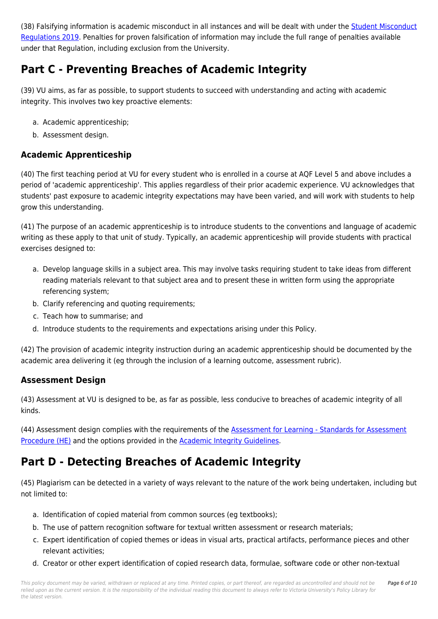(38) Falsifying information is academic misconduct in all instances and will be dealt with under the [Student Misconduct](https://policy.vu.edu.au/document/view.php?id=206) [Regulations 2019](https://policy.vu.edu.au/document/view.php?id=206). Penalties for proven falsification of information may include the full range of penalties available under that Regulation, including exclusion from the University.

## **Part C - Preventing Breaches of Academic Integrity**

(39) VU aims, as far as possible, to support students to succeed with understanding and acting with academic integrity. This involves two key proactive elements:

- a. Academic apprenticeship;
- b. Assessment design.

#### **Academic Apprenticeship**

(40) The first teaching period at VU for every student who is enrolled in a course at AQF Level 5 and above includes a period of 'academic apprenticeship'. This applies regardless of their prior academic experience. VU acknowledges that students' past exposure to academic integrity expectations may have been varied, and will work with students to help grow this understanding.

(41) The purpose of an academic apprenticeship is to introduce students to the conventions and language of academic writing as these apply to that unit of study. Typically, an academic apprenticeship will provide students with practical exercises designed to:

- a. Develop language skills in a subject area. This may involve tasks requiring student to take ideas from different reading materials relevant to that subject area and to present these in written form using the appropriate referencing system;
- b. Clarify referencing and quoting requirements;
- c. Teach how to summarise; and
- d. Introduce students to the requirements and expectations arising under this Policy.

(42) The provision of academic integrity instruction during an academic apprenticeship should be documented by the academic area delivering it (eg through the inclusion of a learning outcome, assessment rubric).

#### **Assessment Design**

(43) Assessment at VU is designed to be, as far as possible, less conducive to breaches of academic integrity of all kinds.

(44) Assessment design complies with the requirements of the [Assessment for Learning - Standards for Assessment](https://policy.vu.edu.au/document/view.php?id=327) [Procedure \(HE\)](https://policy.vu.edu.au/document/view.php?id=327) and the options provided in the [Academic Integrity Guidelines](https://policy.vu.edu.au/document/view.php?id=412).

### **Part D - Detecting Breaches of Academic Integrity**

(45) Plagiarism can be detected in a variety of ways relevant to the nature of the work being undertaken, including but not limited to:

- a. Identification of copied material from common sources (eg textbooks);
- b. The use of pattern recognition software for textual written assessment or research materials;
- c. Expert identification of copied themes or ideas in visual arts, practical artifacts, performance pieces and other relevant activities;
- d. Creator or other expert identification of copied research data, formulae, software code or other non-textual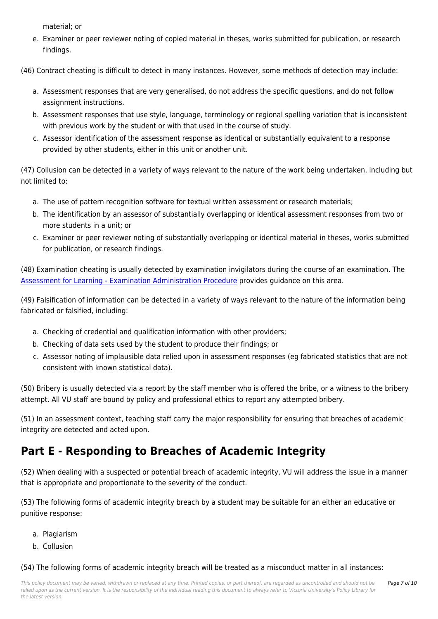material; or

- e. Examiner or peer reviewer noting of copied material in theses, works submitted for publication, or research findings.
- (46) Contract cheating is difficult to detect in many instances. However, some methods of detection may include:
	- a. Assessment responses that are very generalised, do not address the specific questions, and do not follow assignment instructions.
	- b. Assessment responses that use style, language, terminology or regional spelling variation that is inconsistent with previous work by the student or with that used in the course of study.
	- c. Assessor identification of the assessment response as identical or substantially equivalent to a response provided by other students, either in this unit or another unit.

(47) Collusion can be detected in a variety of ways relevant to the nature of the work being undertaken, including but not limited to:

- a. The use of pattern recognition software for textual written assessment or research materials;
- b. The identification by an assessor of substantially overlapping or identical assessment responses from two or more students in a unit; or
- c. Examiner or peer reviewer noting of substantially overlapping or identical material in theses, works submitted for publication, or research findings.

(48) Examination cheating is usually detected by examination invigilators during the course of an examination. The [Assessment for Learning - Examination Administration Procedure](https://policy.vu.edu.au/document/view.php?id=65) provides guidance on this area.

(49) Falsification of information can be detected in a variety of ways relevant to the nature of the information being fabricated or falsified, including:

- a. Checking of credential and qualification information with other providers;
- b. Checking of data sets used by the student to produce their findings; or
- c. Assessor noting of implausible data relied upon in assessment responses (eg fabricated statistics that are not consistent with known statistical data).

(50) Bribery is usually detected via a report by the staff member who is offered the bribe, or a witness to the bribery attempt. All VU staff are bound by policy and professional ethics to report any attempted bribery.

(51) In an assessment context, teaching staff carry the major responsibility for ensuring that breaches of academic integrity are detected and acted upon.

## **Part E - Responding to Breaches of Academic Integrity**

(52) When dealing with a suspected or potential breach of academic integrity, VU will address the issue in a manner that is appropriate and proportionate to the severity of the conduct.

(53) The following forms of academic integrity breach by a student may be suitable for an either an educative or punitive response:

- a. Plagiarism
- b. Collusion

(54) The following forms of academic integrity breach will be treated as a misconduct matter in all instances: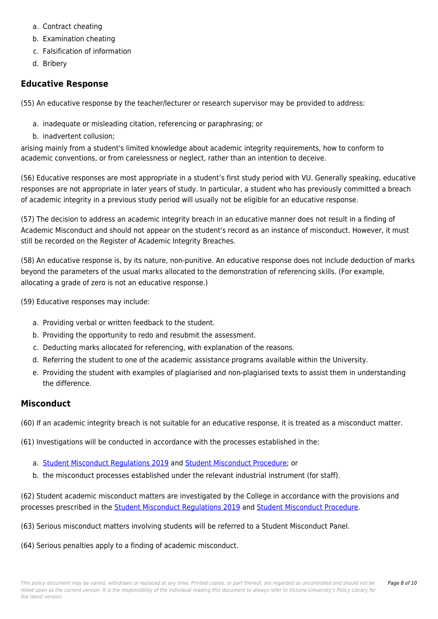- a. Contract cheating
- b. Examination cheating
- c. Falsification of information
- d. Bribery

#### **Educative Response**

(55) An educative response by the teacher/lecturer or research supervisor may be provided to address:

- a. inadequate or misleading citation, referencing or paraphrasing; or
- b. inadvertent collusion;

arising mainly from a student's limited knowledge about academic integrity requirements, how to conform to academic conventions, or from carelessness or neglect, rather than an intention to deceive.

(56) Educative responses are most appropriate in a student's first study period with VU. Generally speaking, educative responses are not appropriate in later years of study. In particular, a student who has previously committed a breach of academic integrity in a previous study period will usually not be eligible for an educative response.

(57) The decision to address an academic integrity breach in an educative manner does not result in a finding of Academic Misconduct and should not appear on the student's record as an instance of misconduct. However, it must still be recorded on the Register of Academic Integrity Breaches.

(58) An educative response is, by its nature, non-punitive. An educative response does not include deduction of marks beyond the parameters of the usual marks allocated to the demonstration of referencing skills. (For example, allocating a grade of zero is not an educative response.)

(59) Educative responses may include:

- a. Providing verbal or written feedback to the student.
- b. Providing the opportunity to redo and resubmit the assessment.
- c. Deducting marks allocated for referencing, with explanation of the reasons.
- d. Referring the student to one of the academic assistance programs available within the University.
- e. Providing the student with examples of plagiarised and non-plagiarised texts to assist them in understanding the difference.

#### **Misconduct**

(60) If an academic integrity breach is not suitable for an educative response, it is treated as a misconduct matter.

(61) Investigations will be conducted in accordance with the processes established in the:

- a. [Student Misconduct Regulations 2019](https://policy.vu.edu.au/document/view.php?id=206) and [Student Misconduct Procedure;](https://policy.vu.edu.au/document/view.php?id=204) or
- b. the misconduct processes established under the relevant industrial instrument (for staff).

(62) Student academic misconduct matters are investigated by the College in accordance with the provisions and processes prescribed in the [Student Misconduct Regulations 2019](https://policy.vu.edu.au/document/view.php?id=206) and [Student Misconduct Procedure](https://policy.vu.edu.au/document/view.php?id=204).

- (63) Serious misconduct matters involving students will be referred to a Student Misconduct Panel.
- (64) Serious penalties apply to a finding of academic misconduct.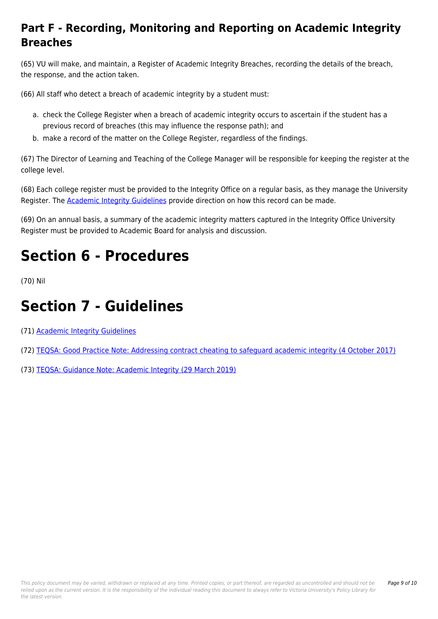## **Part F - Recording, Monitoring and Reporting on Academic Integrity Breaches**

(65) VU will make, and maintain, a Register of Academic Integrity Breaches, recording the details of the breach, the response, and the action taken.

(66) All staff who detect a breach of academic integrity by a student must:

- a. check the College Register when a breach of academic integrity occurs to ascertain if the student has a previous record of breaches (this may influence the response path); and
- b. make a record of the matter on the College Register, regardless of the findings.

(67) The Director of Learning and Teaching of the College Manager will be responsible for keeping the register at the college level.

(68) Each college register must be provided to the Integrity Office on a regular basis, as they manage the University Register. The [Academic Integrity Guidelines](https://policy.vu.edu.au/document/view.php?id=412) provide direction on how this record can be made.

(69) On an annual basis, a summary of the academic integrity matters captured in the Integrity Office University Register must be provided to Academic Board for analysis and discussion.

# **Section 6 - Procedures**

(70) Nil

# **Section 7 - Guidelines**

(71) [Academic Integrity Guidelines](https://policy.vu.edu.au/document/view.php?id=412)

- (72) [TEQSA: Good Practice Note: Addressing contract cheating to safeguard academic integrity \(4 October 2017\)](http://policy.vu.edu.au/download.php?id=436&version=2&associated)
- (73) [TEQSA: Guidance Note: Academic Integrity \(29 March 2019\)](http://policy.vu.edu.au/download.php?id=437&version=2&associated)